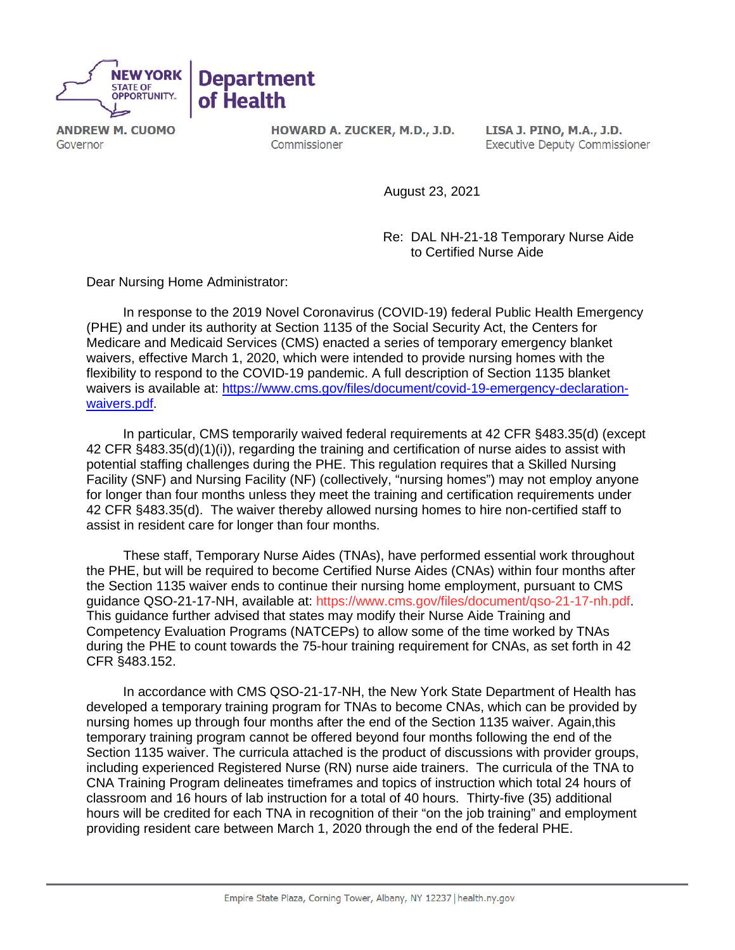

**ANDREW M. CUOMO** Governor

HOWARD A. ZUCKER, M.D., J.D. Commissioner

LISA J. PINO, M.A., J.D. **Executive Deputy Commissioner** 

August 23, 2021

 Re: DAL NH-21-18 Temporary Nurse Aide to Certified Nurse Aide

Dear Nursing Home Administrator:

 In response to the 2019 Novel Coronavirus (COVID-19) federal Public Health Emergency (PHE) and under its authority at Section 1135 of the Social Security Act, the Centers for Medicare and Medicaid Services (CMS) enacted a series of temporary emergency blanket waivers, effective March 1, 2020, which were intended to provide nursing homes with the flexibility to respond to the COVID-19 pandemic. A full description of Section 1135 blanket waivers is available at: [https://www.cms.gov/files/document/covid-19-emergency-declaration](https://www.cms.gov/files/document/covid-19-emergency-declaration-waivers.pdf)[waivers.pdf.](https://www.cms.gov/files/document/covid-19-emergency-declaration-waivers.pdf)

 In particular, CMS temporarily waived federal requirements at 42 CFR §483.35(d) (except 42 CFR §483.35(d)(1)(i)), regarding the training and certification of nurse aides to assist with potential staffing challenges during the PHE. This regulation requires that a Skilled Nursing Facility (SNF) and Nursing Facility (NF) (collectively, "nursing homes") may not employ anyone for longer than four months unless they meet the training and certification requirements under 42 CFR §483.35(d). The waiver thereby allowed nursing homes to hire non-certified staff to assist in resident care for longer than four months.

 These staff, Temporary Nurse Aides (TNAs), have performed essential work throughout the PHE, but will be required to become Certified Nurse Aides (CNAs) within four months after the Section 1135 waiver ends to continue their nursing home employment, pursuant to CMS guidance QSO-21-17-NH, available at: [https://www.cms.gov/files/document/qso-21-17-nh.pdf.](https://www.cms.gov/files/document/qso-21-17-nh.pdf) This guidance further advised that states may modify their Nurse Aide Training and Competency Evaluation Programs (NATCEPs) to allow some of the time worked by TNAs during the PHE to count towards the 75-hour training requirement for CNAs, as set forth in 42 CFR §483.152.

 In accordance with CMS QSO-21-17-NH, the New York State Department of Health has developed a temporary training program for TNAs to become CNAs, which can be provided by nursing homes up through four months after the end of the Section 1135 waiver. Again,this temporary training program cannot be offered beyond four months following the end of the Section 1135 waiver. The curricula attached is the product of discussions with provider groups, including experienced Registered Nurse (RN) nurse aide trainers. The curricula of the TNA to CNA Training Program delineates timeframes and topics of instruction which total 24 hours of classroom and 16 hours of lab instruction for a total of 40 hours. Thirty-five (35) additional hours will be credited for each TNA in recognition of their "on the job training" and employment providing resident care between March 1, 2020 through the end of the federal PHE.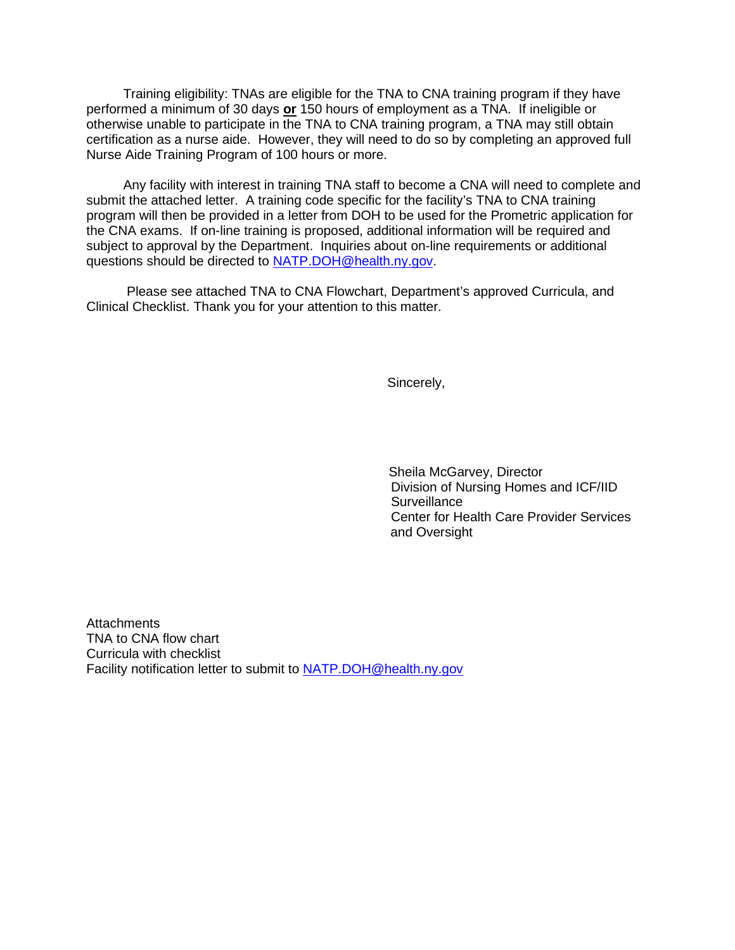Training eligibility: TNAs are eligible for the TNA to CNA training program if they have performed a minimum of 30 days **or** 150 hours of employment as a TNA. If ineligible or otherwise unable to participate in the TNA to CNA training program, a TNA may still obtain certification as a nurse aide. However, they will need to do so by completing an approved full Nurse Aide Training Program of 100 hours or more.

 Any facility with interest in training TNA staff to become a CNA will need to complete and submit the attached letter. A training code specific for the facility's TNA to CNA training program will then be provided in a letter from DOH to be used for the Prometric application for the CNA exams. If on-line training is proposed, additional information will be required and subject to approval by the Department. Inquiries about on-line requirements or additional questions should be directed to [NATP.DOH@health.ny.gov.](mailto:NATP.DOH@health.ny.gov)

 Please see attached TNA to CNA Flowchart, Department's approved Curricula, and Clinical Checklist. Thank you for your attention to this matter.

Sincerely,

Sheila McGarvey, Director Division of Nursing Homes and ICF/IID **Surveillance**  Center for Health Care Provider Services and Oversight

Attachments TNA to CNA flow chart Curricula with checklist Facility notification letter to submit to [NATP.DOH@health.ny.gov](mailto:NATP.DOH@health.ny.gov)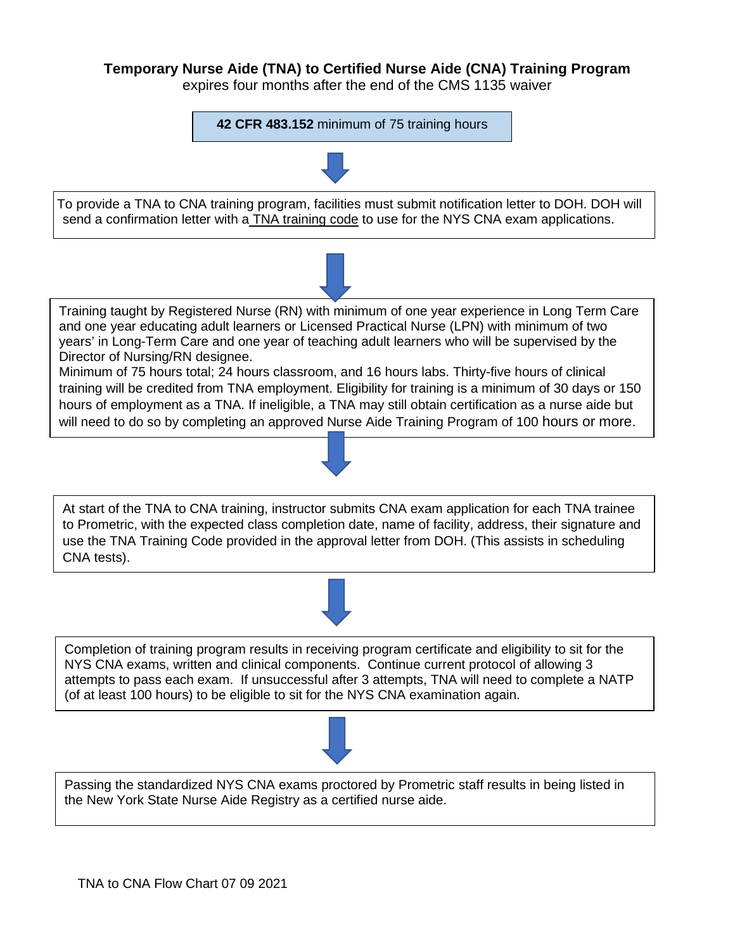### **Temporary Nurse Aide (TNA) to Certified Nurse Aide (CNA) Training Program**

expires four months after the end of the CMS 1135 waiver

**42 CFR 483.152** minimum of 75 training hours



To provide a TNA to CNA training program, facilities must submit notification letter to DOH. DOH will send a confirmation letter with a TNA training code to use for the NYS CNA exam applications.



Minimum of 75 hours total; 24 hours classroom, and 16 hours labs. Thirty-five hours of clinical training will be credited from TNA employment. Eligibility for training is a minimum of 30 days or 150 hours of employment as a TNA. If ineligible, a TNA may still obtain certification as a nurse aide but will need to do so by completing an approved Nurse Aide Training Program of 100 hours or more.

At start of the TNA to CNA training, instructor submits CNA exam application for each TNA trainee to Prometric, with the expected class completion date, name of facility, address, their signature and use the TNA Training Code provided in the approval letter from DOH. (This assists in scheduling CNA tests).





Passing the standardized NYS CNA exams proctored by Prometric staff results in being listed in the New York State Nurse Aide Registry as a certified nurse aide.





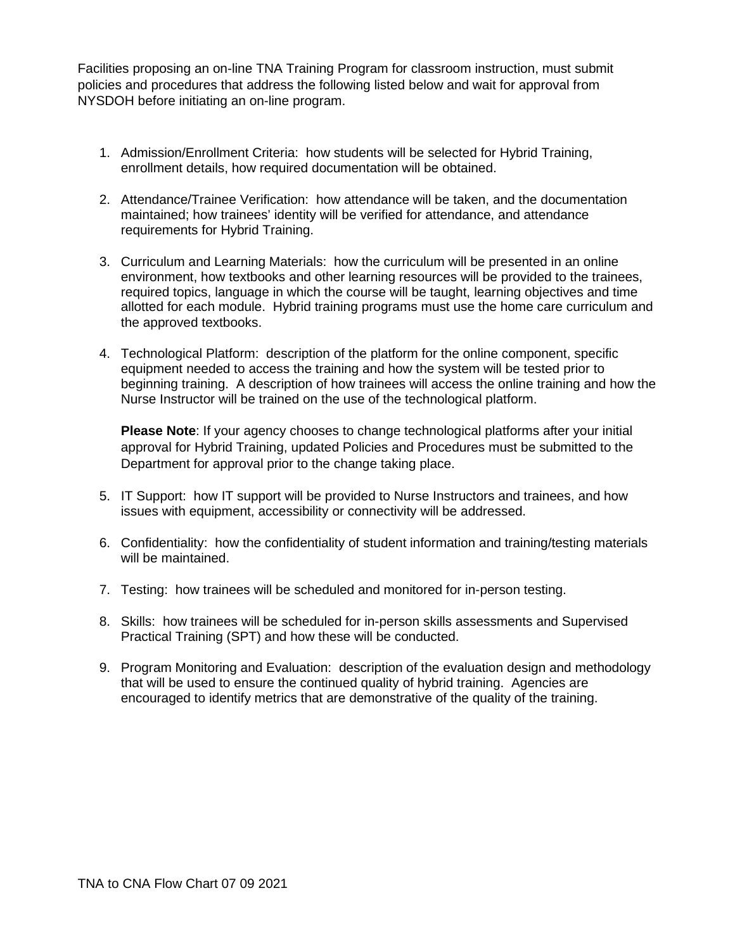Facilities proposing an on-line TNA Training Program for classroom instruction, must submit policies and procedures that address the following listed below and wait for approval from NYSDOH before initiating an on-line program.

- 1. Admission/Enrollment Criteria: how students will be selected for Hybrid Training, enrollment details, how required documentation will be obtained.
- 2. Attendance/Trainee Verification: how attendance will be taken, and the documentation maintained; how trainees' identity will be verified for attendance, and attendance requirements for Hybrid Training.
- 3. Curriculum and Learning Materials: how the curriculum will be presented in an online environment, how textbooks and other learning resources will be provided to the trainees, required topics, language in which the course will be taught, learning objectives and time allotted for each module. Hybrid training programs must use the home care curriculum and the approved textbooks.
- 4. Technological Platform: description of the platform for the online component, specific equipment needed to access the training and how the system will be tested prior to beginning training. A description of how trainees will access the online training and how the Nurse Instructor will be trained on the use of the technological platform.

**Please Note**: If your agency chooses to change technological platforms after your initial approval for Hybrid Training, updated Policies and Procedures must be submitted to the Department for approval prior to the change taking place.

- 5. IT Support: how IT support will be provided to Nurse Instructors and trainees, and how issues with equipment, accessibility or connectivity will be addressed.
- 6. Confidentiality: how the confidentiality of student information and training/testing materials will be maintained.
- 7. Testing: how trainees will be scheduled and monitored for in-person testing.
- 8. Skills: how trainees will be scheduled for in-person skills assessments and Supervised Practical Training (SPT) and how these will be conducted.
- 9. Program Monitoring and Evaluation: description of the evaluation design and methodology that will be used to ensure the continued quality of hybrid training. Agencies are encouraged to identify metrics that are demonstrative of the quality of the training.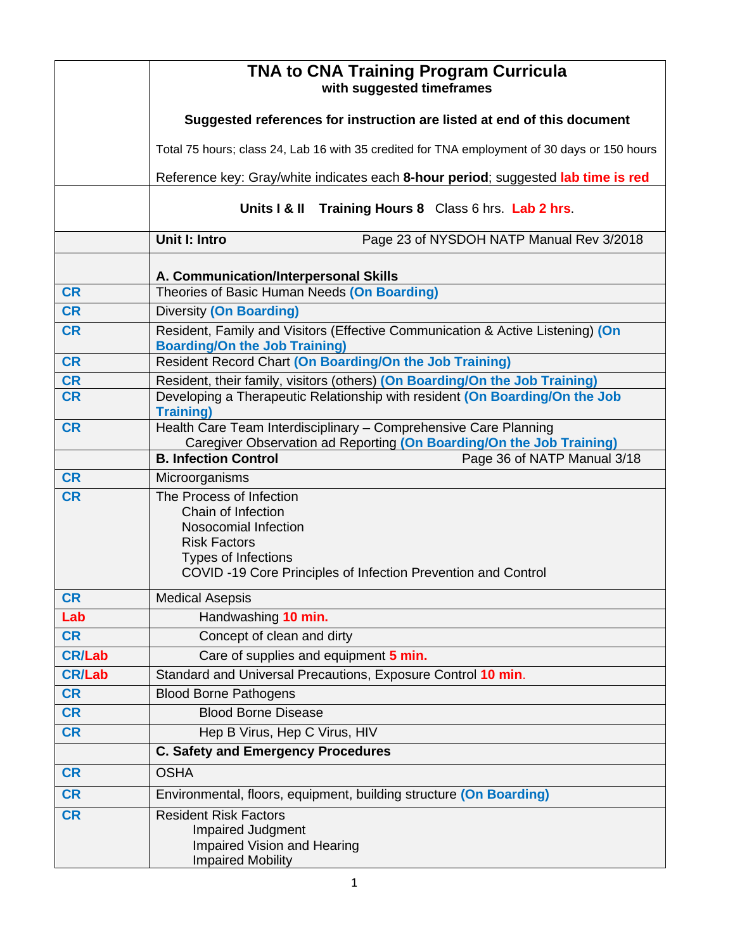|               | TNA to CNA Training Program Curricula<br>with suggested timeframes                                                     |
|---------------|------------------------------------------------------------------------------------------------------------------------|
|               | Suggested references for instruction are listed at end of this document                                                |
|               | Total 75 hours; class 24, Lab 16 with 35 credited for TNA employment of 30 days or 150 hours                           |
|               | Reference key: Gray/white indicates each 8-hour period; suggested lab time is red                                      |
|               | Units   & II Training Hours 8 Class 6 hrs. Lab 2 hrs.                                                                  |
|               | Unit I: Intro<br>Page 23 of NYSDOH NATP Manual Rev 3/2018                                                              |
|               | A. Communication/Interpersonal Skills                                                                                  |
| <b>CR</b>     | Theories of Basic Human Needs (On Boarding)                                                                            |
| <b>CR</b>     | <b>Diversity (On Boarding)</b>                                                                                         |
| <b>CR</b>     | Resident, Family and Visitors (Effective Communication & Active Listening) (On<br><b>Boarding/On the Job Training)</b> |
| <b>CR</b>     | Resident Record Chart (On Boarding/On the Job Training)                                                                |
| <b>CR</b>     | Resident, their family, visitors (others) (On Boarding/On the Job Training)                                            |
| <b>CR</b>     | Developing a Therapeutic Relationship with resident (On Boarding/On the Job<br><b>Training)</b>                        |
| <b>CR</b>     | Health Care Team Interdisciplinary - Comprehensive Care Planning                                                       |
|               | Caregiver Observation ad Reporting (On Boarding/On the Job Training)                                                   |
|               | Page 36 of NATP Manual 3/18<br><b>B. Infection Control</b>                                                             |
| <b>CR</b>     | Microorganisms                                                                                                         |
| <b>CR</b>     | The Process of Infection<br>Chain of Infection                                                                         |
|               | Nosocomial Infection                                                                                                   |
|               | <b>Risk Factors</b>                                                                                                    |
|               | <b>Types of Infections</b>                                                                                             |
|               | COVID-19 Core Principles of Infection Prevention and Control                                                           |
| <b>CR</b>     | <b>Medical Asepsis</b>                                                                                                 |
| Lab           | Handwashing 10 min.                                                                                                    |
| <b>CR</b>     | Concept of clean and dirty                                                                                             |
| <b>CR/Lab</b> | Care of supplies and equipment 5 min.                                                                                  |
| <b>CR/Lab</b> | Standard and Universal Precautions, Exposure Control 10 min.                                                           |
| <b>CR</b>     | <b>Blood Borne Pathogens</b>                                                                                           |
| <b>CR</b>     | <b>Blood Borne Disease</b>                                                                                             |
| <b>CR</b>     | Hep B Virus, Hep C Virus, HIV                                                                                          |
|               | <b>C. Safety and Emergency Procedures</b>                                                                              |
| <b>CR</b>     | <b>OSHA</b>                                                                                                            |
| <b>CR</b>     | Environmental, floors, equipment, building structure (On Boarding)                                                     |
| <b>CR</b>     | <b>Resident Risk Factors</b><br><b>Impaired Judgment</b><br><b>Impaired Vision and Hearing</b>                         |
|               | <b>Impaired Mobility</b>                                                                                               |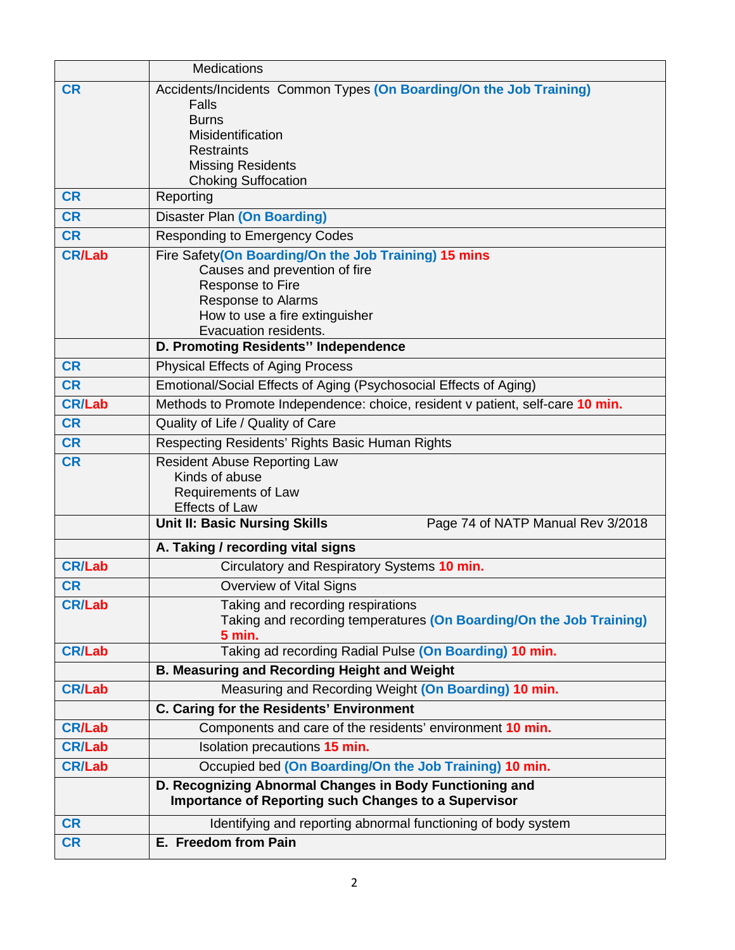|               | <b>Medications</b>                                                                                                     |
|---------------|------------------------------------------------------------------------------------------------------------------------|
| <b>CR</b>     | Accidents/Incidents Common Types (On Boarding/On the Job Training)                                                     |
|               | Falls                                                                                                                  |
|               | <b>Burns</b>                                                                                                           |
|               | Misidentification                                                                                                      |
|               | <b>Restraints</b><br><b>Missing Residents</b>                                                                          |
|               | <b>Choking Suffocation</b>                                                                                             |
| <b>CR</b>     | Reporting                                                                                                              |
| <b>CR</b>     | <b>Disaster Plan (On Boarding)</b>                                                                                     |
| <b>CR</b>     | <b>Responding to Emergency Codes</b>                                                                                   |
| <b>CR/Lab</b> | Fire Safety(On Boarding/On the Job Training) 15 mins                                                                   |
|               | Causes and prevention of fire                                                                                          |
|               | Response to Fire                                                                                                       |
|               | <b>Response to Alarms</b>                                                                                              |
|               | How to use a fire extinguisher<br>Evacuation residents.                                                                |
|               | D. Promoting Residents" Independence                                                                                   |
| <b>CR</b>     | <b>Physical Effects of Aging Process</b>                                                                               |
| <b>CR</b>     | Emotional/Social Effects of Aging (Psychosocial Effects of Aging)                                                      |
| <b>CR/Lab</b> | Methods to Promote Independence: choice, resident v patient, self-care 10 min.                                         |
| <b>CR</b>     | Quality of Life / Quality of Care                                                                                      |
| <b>CR</b>     | Respecting Residents' Rights Basic Human Rights                                                                        |
| <b>CR</b>     | <b>Resident Abuse Reporting Law</b>                                                                                    |
|               | Kinds of abuse                                                                                                         |
|               | Requirements of Law                                                                                                    |
|               | <b>Effects of Law</b>                                                                                                  |
|               | <b>Unit II: Basic Nursing Skills</b><br>Page 74 of NATP Manual Rev 3/2018                                              |
|               | A. Taking / recording vital signs                                                                                      |
| <b>CR/Lab</b> | Circulatory and Respiratory Systems 10 min.                                                                            |
| <b>CR</b>     | Overview of Vital Signs                                                                                                |
| <b>CR/Lab</b> | Taking and recording respirations                                                                                      |
|               | Taking and recording temperatures (On Boarding/On the Job Training)                                                    |
| <b>CR/Lab</b> | <b>5 min.</b><br>Taking ad recording Radial Pulse (On Boarding) 10 min.                                                |
|               | <b>B. Measuring and Recording Height and Weight</b>                                                                    |
| <b>CR/Lab</b> | Measuring and Recording Weight (On Boarding) 10 min.                                                                   |
|               | C. Caring for the Residents' Environment                                                                               |
| <b>CR/Lab</b> | Components and care of the residents' environment 10 min.                                                              |
| <b>CR/Lab</b> | Isolation precautions 15 min.                                                                                          |
| <b>CR/Lab</b> | Occupied bed (On Boarding/On the Job Training) 10 min.                                                                 |
|               | D. Recognizing Abnormal Changes in Body Functioning and<br><b>Importance of Reporting such Changes to a Supervisor</b> |
| <b>CR</b>     | Identifying and reporting abnormal functioning of body system                                                          |
| <b>CR</b>     | E. Freedom from Pain                                                                                                   |
|               |                                                                                                                        |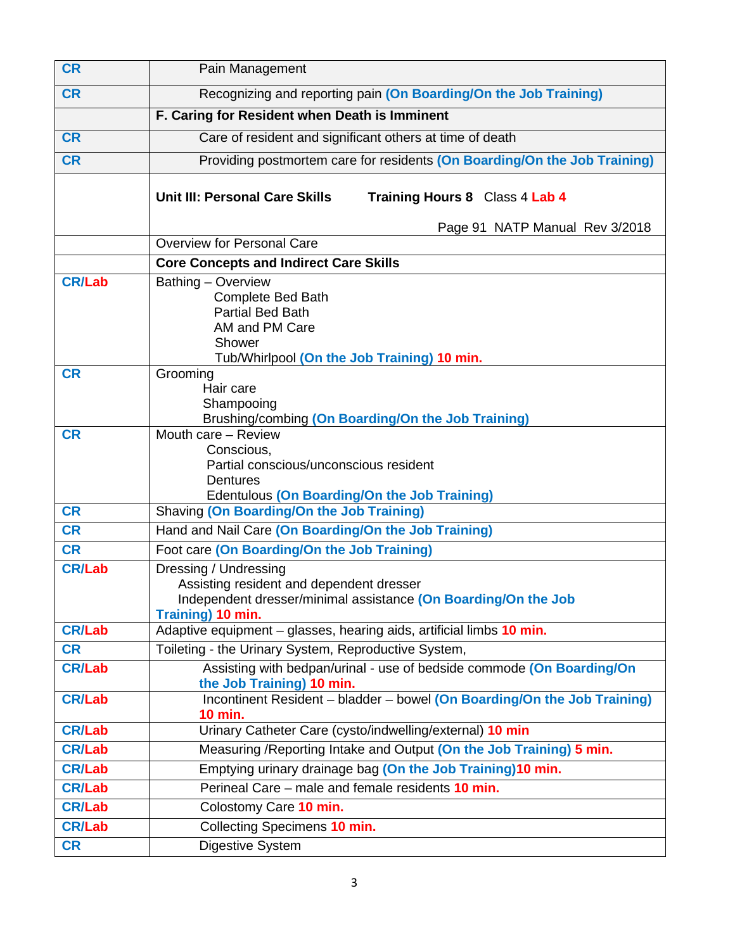| <b>CR</b>     | Pain Management                                                                                                                                          |  |  |  |  |  |
|---------------|----------------------------------------------------------------------------------------------------------------------------------------------------------|--|--|--|--|--|
| <b>CR</b>     | Recognizing and reporting pain (On Boarding/On the Job Training)                                                                                         |  |  |  |  |  |
|               | F. Caring for Resident when Death is Imminent                                                                                                            |  |  |  |  |  |
| <b>CR</b>     | Care of resident and significant others at time of death                                                                                                 |  |  |  |  |  |
| <b>CR</b>     | Providing postmortem care for residents (On Boarding/On the Job Training)                                                                                |  |  |  |  |  |
|               | Unit III: Personal Care Skills<br>Training Hours 8 Class 4 Lab 4                                                                                         |  |  |  |  |  |
|               | Page 91 NATP Manual Rev 3/2018                                                                                                                           |  |  |  |  |  |
|               | Overview for Personal Care                                                                                                                               |  |  |  |  |  |
|               | <b>Core Concepts and Indirect Care Skills</b>                                                                                                            |  |  |  |  |  |
| <b>CR/Lab</b> | Bathing - Overview<br><b>Complete Bed Bath</b><br><b>Partial Bed Bath</b><br>AM and PM Care<br>Shower<br>Tub/Whirlpool (On the Job Training) 10 min.     |  |  |  |  |  |
| <b>CR</b>     | Grooming<br>Hair care<br>Shampooing<br>Brushing/combing (On Boarding/On the Job Training)                                                                |  |  |  |  |  |
| <b>CR</b>     | Mouth care - Review<br>Conscious,<br>Partial conscious/unconscious resident<br><b>Dentures</b><br><b>Edentulous (On Boarding/On the Job Training)</b>    |  |  |  |  |  |
| <b>CR</b>     | Shaving (On Boarding/On the Job Training)                                                                                                                |  |  |  |  |  |
| <b>CR</b>     | Hand and Nail Care (On Boarding/On the Job Training)                                                                                                     |  |  |  |  |  |
| <b>CR</b>     | Foot care (On Boarding/On the Job Training)                                                                                                              |  |  |  |  |  |
| <b>CR/Lab</b> | Dressing / Undressing<br>Assisting resident and dependent dresser<br>Independent dresser/minimal assistance (On Boarding/On the Job<br>Training) 10 min. |  |  |  |  |  |
| <b>CR/Lab</b> | Adaptive equipment - glasses, hearing aids, artificial limbs 10 min.                                                                                     |  |  |  |  |  |
| <b>CR</b>     | Toileting - the Urinary System, Reproductive System,                                                                                                     |  |  |  |  |  |
| <b>CR/Lab</b> | Assisting with bedpan/urinal - use of bedside commode (On Boarding/On<br>the Job Training) 10 min.                                                       |  |  |  |  |  |
| <b>CR/Lab</b> | Incontinent Resident - bladder - bowel (On Boarding/On the Job Training)<br><b>10 min.</b>                                                               |  |  |  |  |  |
| <b>CR/Lab</b> | Urinary Catheter Care (cysto/indwelling/external) 10 min                                                                                                 |  |  |  |  |  |
| <b>CR/Lab</b> | Measuring / Reporting Intake and Output (On the Job Training) 5 min.                                                                                     |  |  |  |  |  |
| <b>CR/Lab</b> | Emptying urinary drainage bag (On the Job Training)10 min.                                                                                               |  |  |  |  |  |
| <b>CR/Lab</b> | Perineal Care – male and female residents 10 min.                                                                                                        |  |  |  |  |  |
| <b>CR/Lab</b> | Colostomy Care 10 min.                                                                                                                                   |  |  |  |  |  |
| <b>CR/Lab</b> | Collecting Specimens 10 min.                                                                                                                             |  |  |  |  |  |
| <b>CR</b>     | Digestive System                                                                                                                                         |  |  |  |  |  |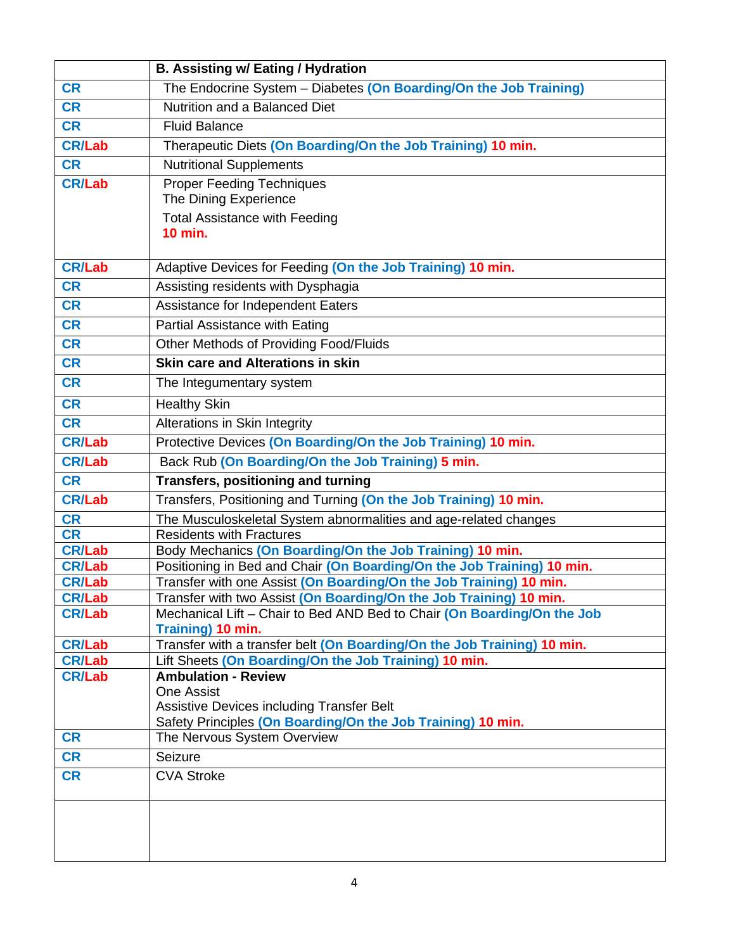|                                | <b>B. Assisting w/ Eating / Hydration</b>                                                                                          |
|--------------------------------|------------------------------------------------------------------------------------------------------------------------------------|
| <b>CR</b>                      | The Endocrine System - Diabetes (On Boarding/On the Job Training)                                                                  |
| <b>CR</b>                      | Nutrition and a Balanced Diet                                                                                                      |
| <b>CR</b>                      | <b>Fluid Balance</b>                                                                                                               |
| <b>CR/Lab</b>                  | Therapeutic Diets (On Boarding/On the Job Training) 10 min.                                                                        |
| <b>CR</b>                      | <b>Nutritional Supplements</b>                                                                                                     |
| <b>CR/Lab</b>                  | <b>Proper Feeding Techniques</b>                                                                                                   |
|                                | The Dining Experience                                                                                                              |
|                                | <b>Total Assistance with Feeding</b>                                                                                               |
|                                | <b>10 min.</b>                                                                                                                     |
| <b>CR/Lab</b>                  | Adaptive Devices for Feeding (On the Job Training) 10 min.                                                                         |
| <b>CR</b>                      | Assisting residents with Dysphagia                                                                                                 |
| <b>CR</b>                      | Assistance for Independent Eaters                                                                                                  |
| <b>CR</b>                      | Partial Assistance with Eating                                                                                                     |
| <b>CR</b>                      | Other Methods of Providing Food/Fluids                                                                                             |
| <b>CR</b>                      | <b>Skin care and Alterations in skin</b>                                                                                           |
| <b>CR</b>                      | The Integumentary system                                                                                                           |
| <b>CR</b>                      | <b>Healthy Skin</b>                                                                                                                |
| <b>CR</b>                      | Alterations in Skin Integrity                                                                                                      |
| <b>CR/Lab</b>                  | Protective Devices (On Boarding/On the Job Training) 10 min.                                                                       |
| <b>CR/Lab</b>                  | Back Rub (On Boarding/On the Job Training) 5 min.                                                                                  |
| <b>CR</b>                      | Transfers, positioning and turning                                                                                                 |
| <b>CR/Lab</b>                  | Transfers, Positioning and Turning (On the Job Training) 10 min.                                                                   |
| <b>CR</b>                      | The Musculoskeletal System abnormalities and age-related changes                                                                   |
| <b>CR</b>                      | <b>Residents with Fractures</b>                                                                                                    |
| <b>CR/Lab</b><br><b>CR/Lab</b> | Body Mechanics (On Boarding/On the Job Training) 10 min.<br>Positioning in Bed and Chair (On Boarding/On the Job Training) 10 min. |
| <b>CR/Lab</b>                  | Transfer with one Assist (On Boarding/On the Job Training) 10 min.                                                                 |
| <b>CR/Lab</b>                  | Transfer with two Assist (On Boarding/On the Job Training) 10 min.                                                                 |
| <b>CR/Lab</b>                  | Mechanical Lift - Chair to Bed AND Bed to Chair (On Boarding/On the Job                                                            |
|                                | Training) 10 min.                                                                                                                  |
| <b>CR/Lab</b><br><b>CR/Lab</b> | Transfer with a transfer belt (On Boarding/On the Job Training) 10 min.<br>Lift Sheets (On Boarding/On the Job Training) 10 min.   |
| <b>CR/Lab</b>                  | <b>Ambulation - Review</b>                                                                                                         |
|                                | <b>One Assist</b>                                                                                                                  |
|                                | <b>Assistive Devices including Transfer Belt</b>                                                                                   |
| <b>CR</b>                      | Safety Principles (On Boarding/On the Job Training) 10 min.                                                                        |
| <b>CR</b>                      | The Nervous System Overview                                                                                                        |
|                                | Seizure                                                                                                                            |
| <b>CR</b>                      | <b>CVA Stroke</b>                                                                                                                  |
|                                |                                                                                                                                    |
|                                |                                                                                                                                    |
|                                |                                                                                                                                    |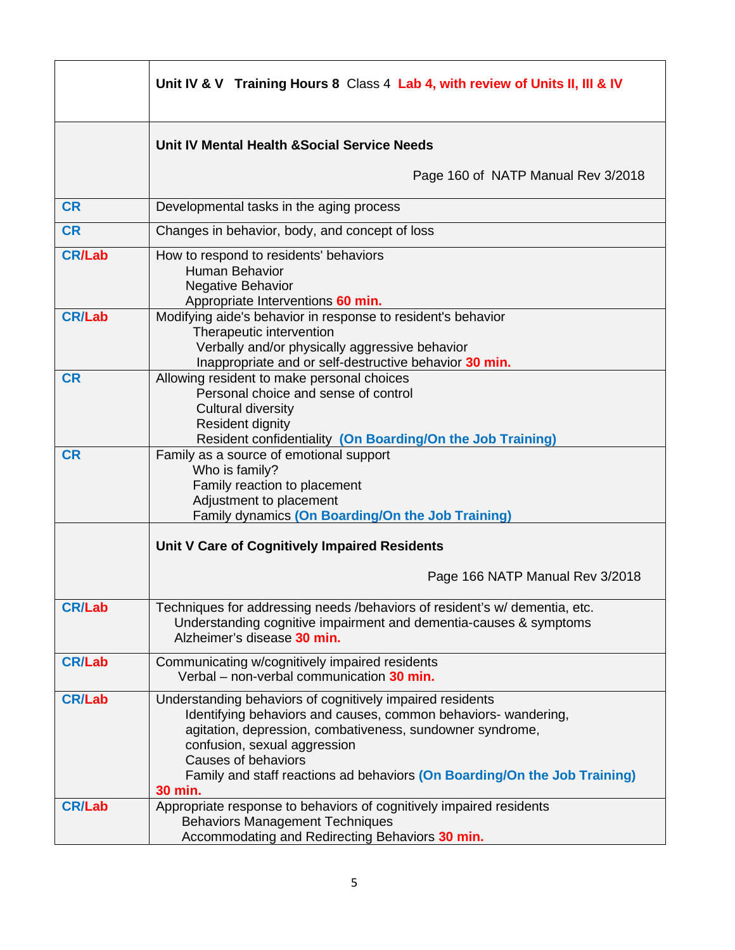|               | Unit IV & V Training Hours 8 Class 4 Lab 4, with review of Units II, III & IV                                                                                                                                                                                                                                                                  |
|---------------|------------------------------------------------------------------------------------------------------------------------------------------------------------------------------------------------------------------------------------------------------------------------------------------------------------------------------------------------|
|               | Unit IV Mental Health & Social Service Needs                                                                                                                                                                                                                                                                                                   |
|               | Page 160 of NATP Manual Rev 3/2018                                                                                                                                                                                                                                                                                                             |
| <b>CR</b>     | Developmental tasks in the aging process                                                                                                                                                                                                                                                                                                       |
| <b>CR</b>     | Changes in behavior, body, and concept of loss                                                                                                                                                                                                                                                                                                 |
| <b>CR/Lab</b> | How to respond to residents' behaviors<br><b>Human Behavior</b><br><b>Negative Behavior</b><br>Appropriate Interventions 60 min.                                                                                                                                                                                                               |
| <b>CR/Lab</b> | Modifying aide's behavior in response to resident's behavior<br>Therapeutic intervention<br>Verbally and/or physically aggressive behavior<br>Inappropriate and or self-destructive behavior 30 min.                                                                                                                                           |
| <b>CR</b>     | Allowing resident to make personal choices<br>Personal choice and sense of control<br><b>Cultural diversity</b><br><b>Resident dignity</b><br>Resident confidentiality (On Boarding/On the Job Training)                                                                                                                                       |
| <b>CR</b>     | Family as a source of emotional support<br>Who is family?<br>Family reaction to placement<br>Adjustment to placement<br>Family dynamics (On Boarding/On the Job Training)                                                                                                                                                                      |
|               | Unit V Care of Cognitively Impaired Residents                                                                                                                                                                                                                                                                                                  |
|               | Page 166 NATP Manual Rev 3/2018                                                                                                                                                                                                                                                                                                                |
| <b>CR/Lab</b> | Techniques for addressing needs /behaviors of resident's w/ dementia, etc.<br>Understanding cognitive impairment and dementia-causes & symptoms<br>Alzheimer's disease 30 min.                                                                                                                                                                 |
| <b>CR/Lab</b> | Communicating w/cognitively impaired residents<br>Verbal - non-verbal communication 30 min.                                                                                                                                                                                                                                                    |
| <b>CR/Lab</b> | Understanding behaviors of cognitively impaired residents<br>Identifying behaviors and causes, common behaviors- wandering,<br>agitation, depression, combativeness, sundowner syndrome,<br>confusion, sexual aggression<br><b>Causes of behaviors</b><br>Family and staff reactions ad behaviors (On Boarding/On the Job Training)<br>30 min. |
| <b>CR/Lab</b> | Appropriate response to behaviors of cognitively impaired residents<br><b>Behaviors Management Techniques</b><br>Accommodating and Redirecting Behaviors 30 min.                                                                                                                                                                               |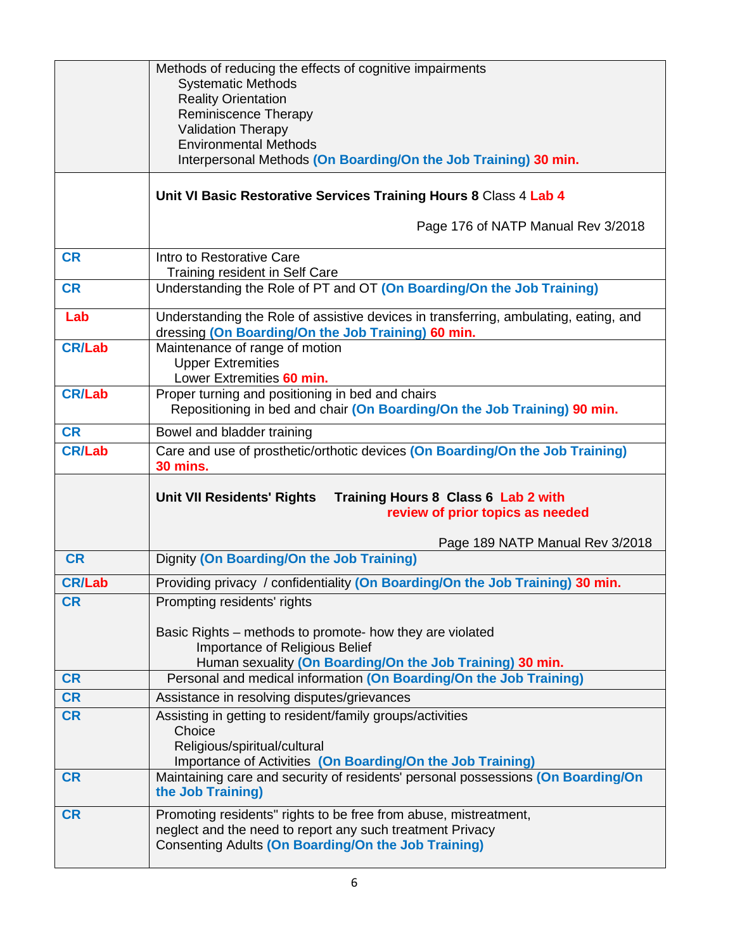|               | Methods of reducing the effects of cognitive impairments<br><b>Systematic Methods</b>                                                                               |
|---------------|---------------------------------------------------------------------------------------------------------------------------------------------------------------------|
|               | <b>Reality Orientation</b>                                                                                                                                          |
|               | <b>Reminiscence Therapy</b><br><b>Validation Therapy</b>                                                                                                            |
|               | <b>Environmental Methods</b>                                                                                                                                        |
|               | Interpersonal Methods (On Boarding/On the Job Training) 30 min.                                                                                                     |
|               | Unit VI Basic Restorative Services Training Hours 8 Class 4 Lab 4                                                                                                   |
|               | Page 176 of NATP Manual Rev 3/2018                                                                                                                                  |
| <b>CR</b>     | Intro to Restorative Care<br>Training resident in Self Care                                                                                                         |
| <b>CR</b>     | Understanding the Role of PT and OT (On Boarding/On the Job Training)                                                                                               |
| Lab           | Understanding the Role of assistive devices in transferring, ambulating, eating, and<br>dressing (On Boarding/On the Job Training) 60 min.                          |
| <b>CR/Lab</b> | Maintenance of range of motion                                                                                                                                      |
|               | <b>Upper Extremities</b><br>Lower Extremities 60 min.                                                                                                               |
| <b>CR/Lab</b> | Proper turning and positioning in bed and chairs                                                                                                                    |
|               | Repositioning in bed and chair (On Boarding/On the Job Training) 90 min.                                                                                            |
| <b>CR</b>     | Bowel and bladder training                                                                                                                                          |
| <b>CR/Lab</b> | Care and use of prosthetic/orthotic devices (On Boarding/On the Job Training)<br><b>30 mins.</b>                                                                    |
|               |                                                                                                                                                                     |
|               | <b>Unit VII Residents' Rights</b><br>Training Hours 8 Class 6 Lab 2 with<br>review of prior topics as needed                                                        |
|               |                                                                                                                                                                     |
| <b>CR</b>     | Page 189 NATP Manual Rev 3/2018<br>Dignity (On Boarding/On the Job Training)                                                                                        |
| <b>CR/Lab</b> | Providing privacy / confidentiality (On Boarding/On the Job Training) 30 min.                                                                                       |
| <b>CR</b>     | Prompting residents' rights                                                                                                                                         |
|               | Basic Rights – methods to promote- how they are violated<br>Importance of Religious Belief                                                                          |
|               | Human sexuality (On Boarding/On the Job Training) 30 min.                                                                                                           |
| <b>CR</b>     | Personal and medical information (On Boarding/On the Job Training)                                                                                                  |
| <b>CR</b>     | Assistance in resolving disputes/grievances                                                                                                                         |
| <b>CR</b>     | Assisting in getting to resident/family groups/activities<br>Choice                                                                                                 |
|               | Religious/spiritual/cultural                                                                                                                                        |
| <b>CR</b>     | Importance of Activities (On Boarding/On the Job Training)<br>Maintaining care and security of residents' personal possessions (On Boarding/On<br>the Job Training) |
| <b>CR</b>     | Promoting residents" rights to be free from abuse, mistreatment,                                                                                                    |
|               | neglect and the need to report any such treatment Privacy<br><b>Consenting Adults (On Boarding/On the Job Training)</b>                                             |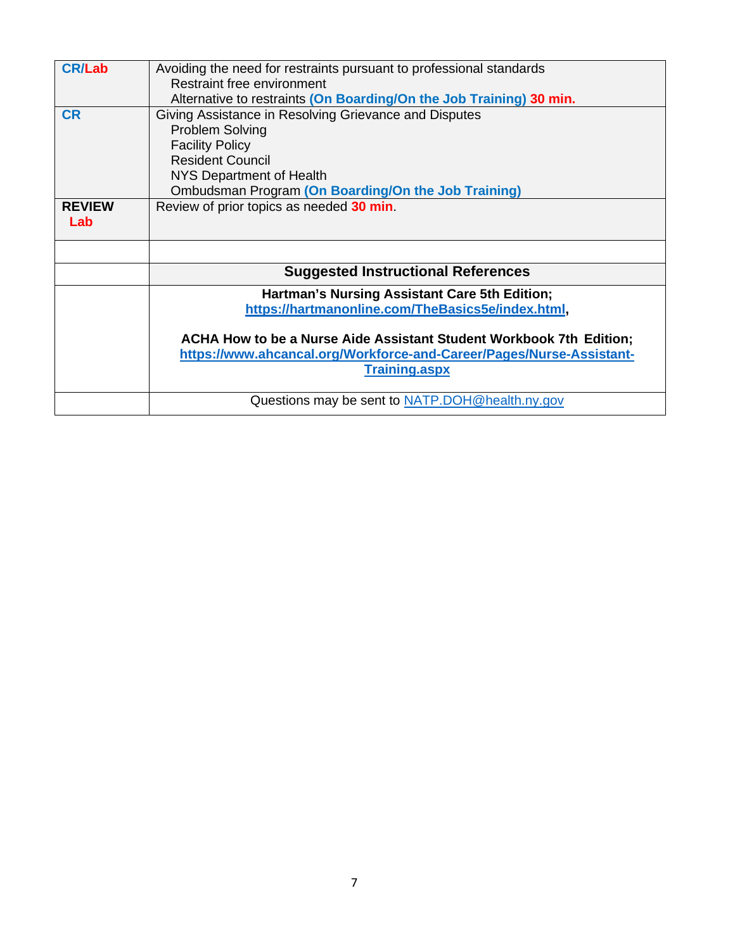| <b>CR/Lab</b> | Avoiding the need for restraints pursuant to professional standards  |
|---------------|----------------------------------------------------------------------|
|               | Restraint free environment                                           |
|               | Alternative to restraints (On Boarding/On the Job Training) 30 min.  |
| <b>CR</b>     | Giving Assistance in Resolving Grievance and Disputes                |
|               | <b>Problem Solving</b>                                               |
|               | <b>Facility Policy</b>                                               |
|               | <b>Resident Council</b>                                              |
|               | NYS Department of Health                                             |
|               | Ombudsman Program (On Boarding/On the Job Training)                  |
| <b>REVIEW</b> | Review of prior topics as needed 30 min.                             |
| Lab           |                                                                      |
|               |                                                                      |
|               |                                                                      |
|               |                                                                      |
|               | <b>Suggested Instructional References</b>                            |
|               | Hartman's Nursing Assistant Care 5th Edition;                        |
|               |                                                                      |
|               | https://hartmanonline.com/TheBasics5e/index.html,                    |
|               |                                                                      |
|               |                                                                      |
|               | ACHA How to be a Nurse Aide Assistant Student Workbook 7th Edition;  |
|               | https://www.ahcancal.org/Workforce-and-Career/Pages/Nurse-Assistant- |
|               | <b>Training.aspx</b>                                                 |
|               | Questions may be sent to NATP.DOH@health.ny.gov                      |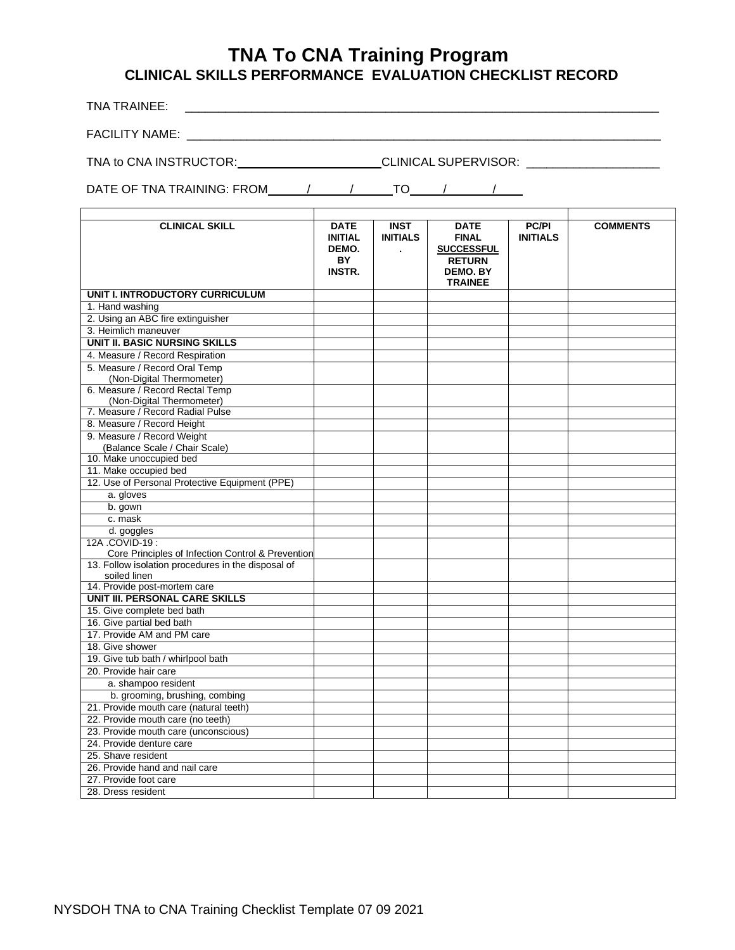# **TNA To CNA Training Program CLINICAL SKILLS PERFORMANCE EVALUATION CHECKLIST RECORD**

TNA TRAINEE: \_\_\_\_\_\_\_\_\_\_\_\_\_\_\_\_\_\_\_\_\_\_\_\_\_\_\_\_\_\_\_\_\_\_\_\_\_\_\_\_\_\_\_\_\_\_\_\_\_\_\_\_\_\_\_\_\_\_\_\_\_\_\_\_\_\_\_\_\_\_\_

FACILITY NAME: \_\_\_\_\_\_\_\_\_\_\_\_\_\_\_\_\_\_\_\_\_\_\_\_\_\_\_\_\_\_\_\_\_\_\_\_\_\_\_\_\_\_\_\_\_\_\_\_\_\_\_\_\_\_\_\_\_\_\_\_\_\_\_\_\_\_\_\_\_\_\_

TNA to CNA INSTRUCTOR: CLINICAL SUPERVISOR: \_\_\_\_\_\_\_\_\_\_\_\_\_\_\_\_\_\_\_\_

DATE OF TNA TRAINING: FROM  $\begin{array}{cccc} \hline \end{array}$  /  $\begin{array}{cccc} \hline \end{array}$  /  $\begin{array}{cccc} \hline \end{array}$ 

| <b>CLINICAL SKILL</b>                              | <b>DATE</b><br><b>INITIAL</b><br>DEMO.<br>BY<br>INSTR. | <b>INST</b><br><b>INITIALS</b> | <b>DATE</b><br><b>FINAL</b><br><b>SUCCESSFUL</b><br><b>RETURN</b><br><b>DEMO, BY</b><br><b>TRAINEE</b> | <b>PC/PI</b><br><b>INITIALS</b> | <b>COMMENTS</b> |
|----------------------------------------------------|--------------------------------------------------------|--------------------------------|--------------------------------------------------------------------------------------------------------|---------------------------------|-----------------|
| <b>UNIT I. INTRODUCTORY CURRICULUM</b>             |                                                        |                                |                                                                                                        |                                 |                 |
| 1. Hand washing                                    |                                                        |                                |                                                                                                        |                                 |                 |
| 2. Using an ABC fire extinguisher                  |                                                        |                                |                                                                                                        |                                 |                 |
| 3. Heimlich maneuver                               |                                                        |                                |                                                                                                        |                                 |                 |
| <b>UNIT II. BASIC NURSING SKILLS</b>               |                                                        |                                |                                                                                                        |                                 |                 |
| 4. Measure / Record Respiration                    |                                                        |                                |                                                                                                        |                                 |                 |
| 5. Measure / Record Oral Temp                      |                                                        |                                |                                                                                                        |                                 |                 |
| (Non-Digital Thermometer)                          |                                                        |                                |                                                                                                        |                                 |                 |
| 6. Measure / Record Rectal Temp                    |                                                        |                                |                                                                                                        |                                 |                 |
| (Non-Digital Thermometer)                          |                                                        |                                |                                                                                                        |                                 |                 |
| 7. Measure / Record Radial Pulse                   |                                                        |                                |                                                                                                        |                                 |                 |
| 8. Measure / Record Height                         |                                                        |                                |                                                                                                        |                                 |                 |
| 9. Measure / Record Weight                         |                                                        |                                |                                                                                                        |                                 |                 |
| (Balance Scale / Chair Scale)                      |                                                        |                                |                                                                                                        |                                 |                 |
| 10. Make unoccupied bed                            |                                                        |                                |                                                                                                        |                                 |                 |
| 11. Make occupied bed                              |                                                        |                                |                                                                                                        |                                 |                 |
| 12. Use of Personal Protective Equipment (PPE)     |                                                        |                                |                                                                                                        |                                 |                 |
| a. gloves                                          |                                                        |                                |                                                                                                        |                                 |                 |
| b. gown                                            |                                                        |                                |                                                                                                        |                                 |                 |
| c. mask                                            |                                                        |                                |                                                                                                        |                                 |                 |
| d. goggles                                         |                                                        |                                |                                                                                                        |                                 |                 |
| 12A .COVID-19 :                                    |                                                        |                                |                                                                                                        |                                 |                 |
| Core Principles of Infection Control & Prevention  |                                                        |                                |                                                                                                        |                                 |                 |
| 13. Follow isolation procedures in the disposal of |                                                        |                                |                                                                                                        |                                 |                 |
| soiled linen                                       |                                                        |                                |                                                                                                        |                                 |                 |
| 14. Provide post-mortem care                       |                                                        |                                |                                                                                                        |                                 |                 |
| <b>UNIT III. PERSONAL CARE SKILLS</b>              |                                                        |                                |                                                                                                        |                                 |                 |
| 15. Give complete bed bath                         |                                                        |                                |                                                                                                        |                                 |                 |
| 16. Give partial bed bath                          |                                                        |                                |                                                                                                        |                                 |                 |
| 17. Provide AM and PM care                         |                                                        |                                |                                                                                                        |                                 |                 |
| 18. Give shower                                    |                                                        |                                |                                                                                                        |                                 |                 |
| 19. Give tub bath / whirlpool bath                 |                                                        |                                |                                                                                                        |                                 |                 |
| 20. Provide hair care                              |                                                        |                                |                                                                                                        |                                 |                 |
| a. shampoo resident                                |                                                        |                                |                                                                                                        |                                 |                 |
| b. grooming, brushing, combing                     |                                                        |                                |                                                                                                        |                                 |                 |
| 21. Provide mouth care (natural teeth)             |                                                        |                                |                                                                                                        |                                 |                 |
| 22. Provide mouth care (no teeth)                  |                                                        |                                |                                                                                                        |                                 |                 |
| 23. Provide mouth care (unconscious)               |                                                        |                                |                                                                                                        |                                 |                 |
| 24. Provide denture care                           |                                                        |                                |                                                                                                        |                                 |                 |
| 25. Shave resident                                 |                                                        |                                |                                                                                                        |                                 |                 |
| 26. Provide hand and nail care                     |                                                        |                                |                                                                                                        |                                 |                 |
| 27. Provide foot care                              |                                                        |                                |                                                                                                        |                                 |                 |
| 28. Dress resident                                 |                                                        |                                |                                                                                                        |                                 |                 |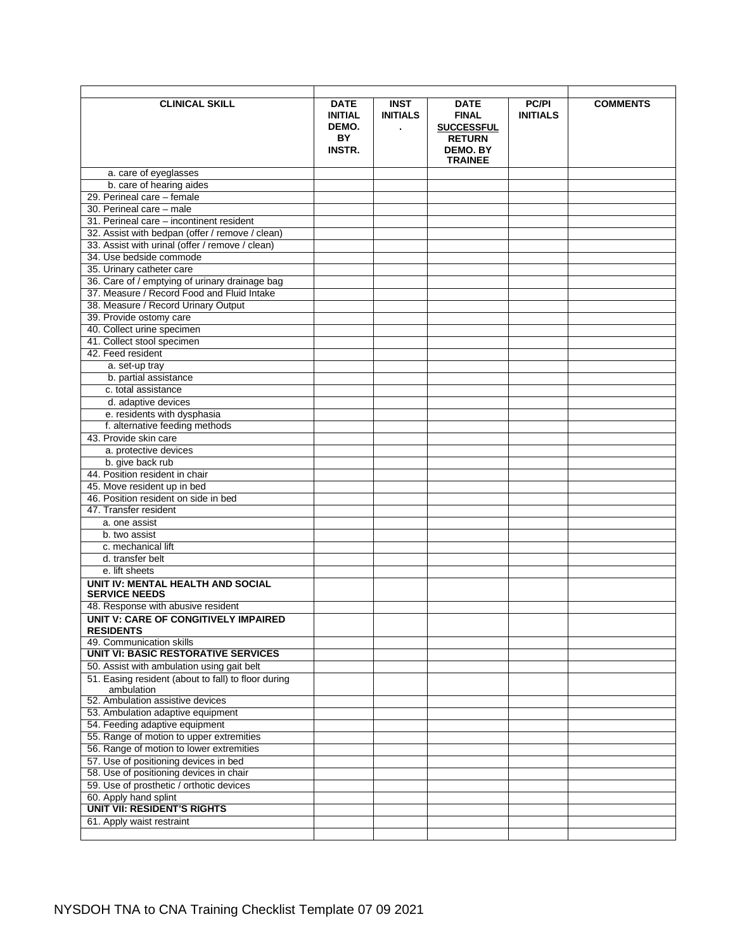| <b>CLINICAL SKILL</b>                                             | <b>DATE</b><br><b>INITIAL</b><br>DEMO.<br>BY<br><b>INSTR.</b> | <b>INST</b><br><b>INITIALS</b><br>$\blacksquare$ | <b>DATE</b><br><b>FINAL</b><br><b>SUCCESSFUL</b><br><b>RETURN</b><br><b>DEMO. BY</b><br><b>TRAINEE</b> | <b>PC/PI</b><br><b>INITIALS</b> | <b>COMMENTS</b> |
|-------------------------------------------------------------------|---------------------------------------------------------------|--------------------------------------------------|--------------------------------------------------------------------------------------------------------|---------------------------------|-----------------|
| a. care of eyeglasses                                             |                                                               |                                                  |                                                                                                        |                                 |                 |
| b. care of hearing aides                                          |                                                               |                                                  |                                                                                                        |                                 |                 |
| 29. Perineal care - female                                        |                                                               |                                                  |                                                                                                        |                                 |                 |
| 30. Perineal care - male                                          |                                                               |                                                  |                                                                                                        |                                 |                 |
| 31. Perineal care - incontinent resident                          |                                                               |                                                  |                                                                                                        |                                 |                 |
| 32. Assist with bedpan (offer / remove / clean)                   |                                                               |                                                  |                                                                                                        |                                 |                 |
| 33. Assist with urinal (offer / remove / clean)                   |                                                               |                                                  |                                                                                                        |                                 |                 |
| 34. Use bedside commode                                           |                                                               |                                                  |                                                                                                        |                                 |                 |
|                                                                   |                                                               |                                                  |                                                                                                        |                                 |                 |
| 35. Urinary catheter care                                         |                                                               |                                                  |                                                                                                        |                                 |                 |
| 36. Care of / emptying of urinary drainage bag                    |                                                               |                                                  |                                                                                                        |                                 |                 |
| 37. Measure / Record Food and Fluid Intake                        |                                                               |                                                  |                                                                                                        |                                 |                 |
| 38. Measure / Record Urinary Output                               |                                                               |                                                  |                                                                                                        |                                 |                 |
| 39. Provide ostomy care                                           |                                                               |                                                  |                                                                                                        |                                 |                 |
| 40. Collect urine specimen                                        |                                                               |                                                  |                                                                                                        |                                 |                 |
| 41. Collect stool specimen                                        |                                                               |                                                  |                                                                                                        |                                 |                 |
| 42. Feed resident                                                 |                                                               |                                                  |                                                                                                        |                                 |                 |
| a. set-up tray                                                    |                                                               |                                                  |                                                                                                        |                                 |                 |
| b. partial assistance                                             |                                                               |                                                  |                                                                                                        |                                 |                 |
| c. total assistance                                               |                                                               |                                                  |                                                                                                        |                                 |                 |
| d. adaptive devices                                               |                                                               |                                                  |                                                                                                        |                                 |                 |
| e. residents with dysphasia                                       |                                                               |                                                  |                                                                                                        |                                 |                 |
| f. alternative feeding methods                                    |                                                               |                                                  |                                                                                                        |                                 |                 |
| 43. Provide skin care                                             |                                                               |                                                  |                                                                                                        |                                 |                 |
| a. protective devices                                             |                                                               |                                                  |                                                                                                        |                                 |                 |
| b. give back rub                                                  |                                                               |                                                  |                                                                                                        |                                 |                 |
| 44. Position resident in chair                                    |                                                               |                                                  |                                                                                                        |                                 |                 |
| 45. Move resident up in bed                                       |                                                               |                                                  |                                                                                                        |                                 |                 |
| 46. Position resident on side in bed                              |                                                               |                                                  |                                                                                                        |                                 |                 |
| 47. Transfer resident                                             |                                                               |                                                  |                                                                                                        |                                 |                 |
| a. one assist                                                     |                                                               |                                                  |                                                                                                        |                                 |                 |
| b. two assist                                                     |                                                               |                                                  |                                                                                                        |                                 |                 |
| c. mechanical lift                                                |                                                               |                                                  |                                                                                                        |                                 |                 |
| d. transfer belt                                                  |                                                               |                                                  |                                                                                                        |                                 |                 |
| e. lift sheets                                                    |                                                               |                                                  |                                                                                                        |                                 |                 |
| UNIT IV: MENTAL HEALTH AND SOCIAL<br><b>SERVICE NEEDS</b>         |                                                               |                                                  |                                                                                                        |                                 |                 |
| 48. Response with abusive resident                                |                                                               |                                                  |                                                                                                        |                                 |                 |
| UNIT V: CARE OF CONGITIVELY IMPAIRED                              |                                                               |                                                  |                                                                                                        |                                 |                 |
| <b>RESIDENTS</b>                                                  |                                                               |                                                  |                                                                                                        |                                 |                 |
| 49. Communication skills                                          |                                                               |                                                  |                                                                                                        |                                 |                 |
| UNIT VI: BASIC RESTORATIVE SERVICES                               |                                                               |                                                  |                                                                                                        |                                 |                 |
| 50. Assist with ambulation using gait belt                        |                                                               |                                                  |                                                                                                        |                                 |                 |
| 51. Easing resident (about to fall) to floor during<br>ambulation |                                                               |                                                  |                                                                                                        |                                 |                 |
| 52. Ambulation assistive devices                                  |                                                               |                                                  |                                                                                                        |                                 |                 |
| 53. Ambulation adaptive equipment                                 |                                                               |                                                  |                                                                                                        |                                 |                 |
| 54. Feeding adaptive equipment                                    |                                                               |                                                  |                                                                                                        |                                 |                 |
| 55. Range of motion to upper extremities                          |                                                               |                                                  |                                                                                                        |                                 |                 |
| 56. Range of motion to lower extremities                          |                                                               |                                                  |                                                                                                        |                                 |                 |
| 57. Use of positioning devices in bed                             |                                                               |                                                  |                                                                                                        |                                 |                 |
| 58. Use of positioning devices in chair                           |                                                               |                                                  |                                                                                                        |                                 |                 |
| 59. Use of prosthetic / orthotic devices                          |                                                               |                                                  |                                                                                                        |                                 |                 |
| 60. Apply hand splint                                             |                                                               |                                                  |                                                                                                        |                                 |                 |
| <b>UNIT VII: RESIDENT'S RIGHTS</b>                                |                                                               |                                                  |                                                                                                        |                                 |                 |
| 61. Apply waist restraint                                         |                                                               |                                                  |                                                                                                        |                                 |                 |
|                                                                   |                                                               |                                                  |                                                                                                        |                                 |                 |
|                                                                   |                                                               |                                                  |                                                                                                        |                                 |                 |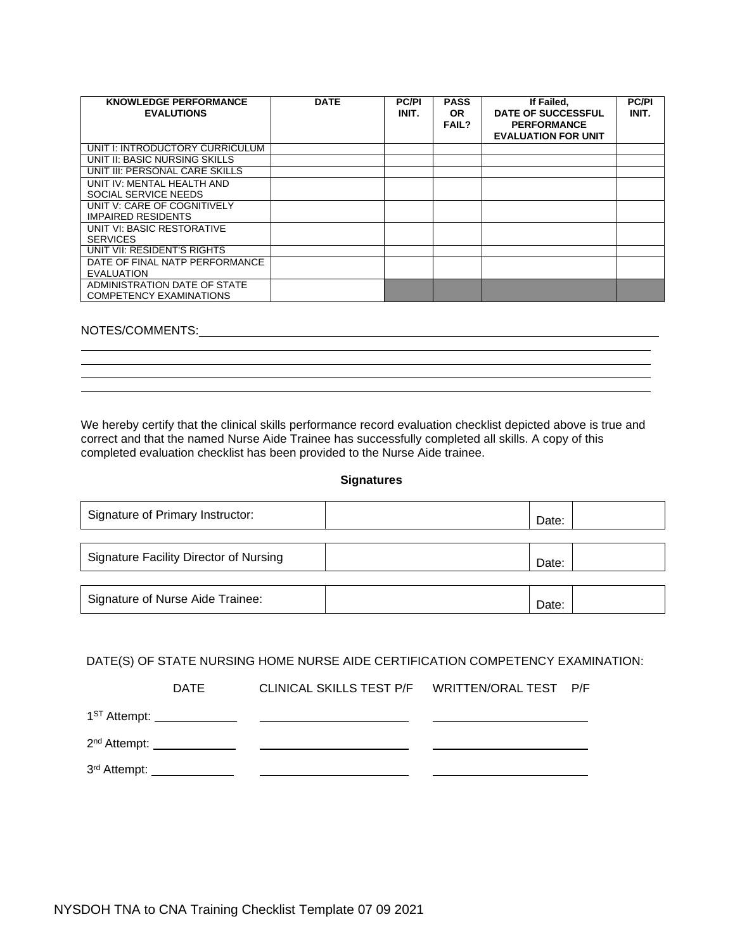| <b>KNOWLEDGE PERFORMANCE</b><br><b>EVALUTIONS</b>              | <b>DATE</b> | <b>PC/PI</b><br>INIT. | <b>PASS</b><br><b>OR</b><br><b>FAIL?</b> | If Failed,<br><b>DATE OF SUCCESSFUL</b><br><b>PERFORMANCE</b><br><b>EVALUATION FOR UNIT</b> | <b>PC/PI</b><br>INIT. |
|----------------------------------------------------------------|-------------|-----------------------|------------------------------------------|---------------------------------------------------------------------------------------------|-----------------------|
| UNIT I: INTRODUCTORY CURRICULUM                                |             |                       |                                          |                                                                                             |                       |
| UNIT II: BASIC NURSING SKILLS                                  |             |                       |                                          |                                                                                             |                       |
| UNIT III: PERSONAL CARE SKILLS                                 |             |                       |                                          |                                                                                             |                       |
| UNIT IV: MENTAL HEALTH AND<br>SOCIAL SERVICE NEEDS             |             |                       |                                          |                                                                                             |                       |
| UNIT V: CARE OF COGNITIVELY<br><b>IMPAIRED RESIDENTS</b>       |             |                       |                                          |                                                                                             |                       |
| UNIT VI: BASIC RESTORATIVE<br><b>SERVICES</b>                  |             |                       |                                          |                                                                                             |                       |
| UNIT VII: RESIDENT'S RIGHTS                                    |             |                       |                                          |                                                                                             |                       |
| DATE OF FINAL NATP PERFORMANCE<br><b>EVALUATION</b>            |             |                       |                                          |                                                                                             |                       |
| ADMINISTRATION DATE OF STATE<br><b>COMPETENCY EXAMINATIONS</b> |             |                       |                                          |                                                                                             |                       |

## NOTES/COMMENTS:

We hereby certify that the clinical skills performance record evaluation checklist depicted above is true and correct and that the named Nurse Aide Trainee has successfully completed all skills. A copy of this completed evaluation checklist has been provided to the Nurse Aide trainee.

#### **Signatures**

| Signature of Primary Instructor:              | Date: |
|-----------------------------------------------|-------|
|                                               |       |
| <b>Signature Facility Director of Nursing</b> | Date: |
|                                               |       |
| Signature of Nurse Aide Trainee:              | Date: |

### DATE(S) OF STATE NURSING HOME NURSE AIDE CERTIFICATION COMPETENCY EXAMINATION:

| DATE |  |  |
|------|--|--|
|      |  |  |
|      |  |  |
|      |  |  |
|      |  |  |